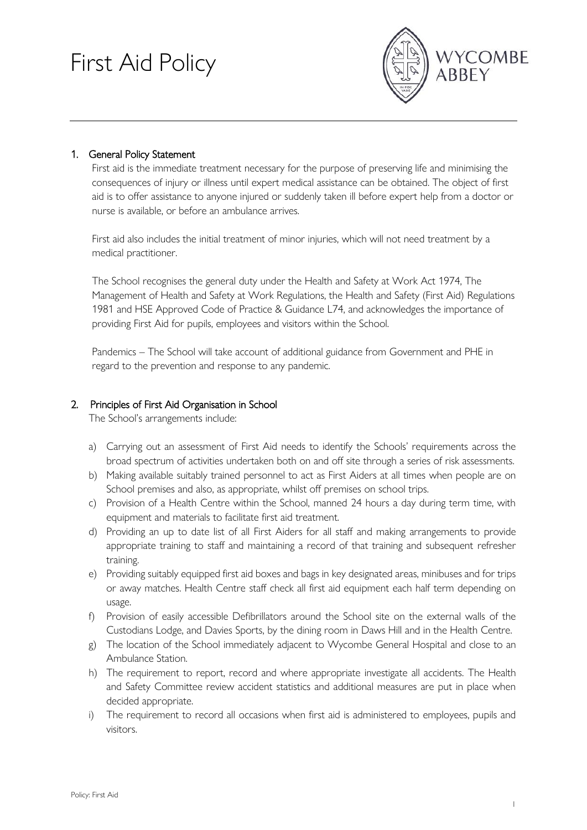# First Aid Policy



## 1. General Policy Statement

First aid is the immediate treatment necessary for the purpose of preserving life and minimising the consequences of injury or illness until expert medical assistance can be obtained. The object of first aid is to offer assistance to anyone injured or suddenly taken ill before expert help from a doctor or nurse is available, or before an ambulance arrives.

First aid also includes the initial treatment of minor injuries, which will not need treatment by a medical practitioner.

The School recognises the general duty under the Health and Safety at Work Act 1974, The Management of Health and Safety at Work Regulations, the Health and Safety (First Aid) Regulations 1981 and HSE Approved Code of Practice & Guidance L74, and acknowledges the importance of providing First Aid for pupils, employees and visitors within the School.

Pandemics – The School will take account of additional guidance from Government and PHE in regard to the prevention and response to any pandemic.

## 2. Principles of First Aid Organisation in School

The School's arrangements include:

- a) Carrying out an assessment of First Aid needs to identify the Schools' requirements across the broad spectrum of activities undertaken both on and off site through a series of risk assessments.
- b) Making available suitably trained personnel to act as First Aiders at all times when people are on School premises and also, as appropriate, whilst off premises on school trips.
- c) Provision of a Health Centre within the School, manned 24 hours a day during term time, with equipment and materials to facilitate first aid treatment.
- d) Providing an up to date list of all First Aiders for all staff and making arrangements to provide appropriate training to staff and maintaining a record of that training and subsequent refresher training.
- e) Providing suitably equipped first aid boxes and bags in key designated areas, minibuses and for trips or away matches. Health Centre staff check all first aid equipment each half term depending on usage.
- f) Provision of easily accessible Defibrillators around the School site on the external walls of the Custodians Lodge, and Davies Sports, by the dining room in Daws Hill and in the Health Centre.
- g) The location of the School immediately adjacent to Wycombe General Hospital and close to an Ambulance Station.
- h) The requirement to report, record and where appropriate investigate all accidents. The Health and Safety Committee review accident statistics and additional measures are put in place when decided appropriate.
- i) The requirement to record all occasions when first aid is administered to employees, pupils and visitors.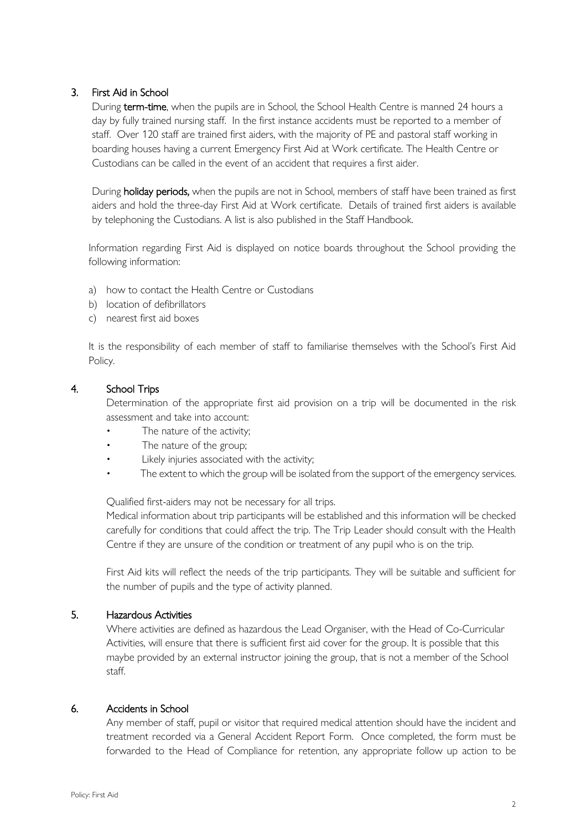## 3. First Aid in School

During term-time, when the pupils are in School, the School Health Centre is manned 24 hours a day by fully trained nursing staff. In the first instance accidents must be reported to a member of staff. Over 120 staff are trained first aiders, with the majority of PE and pastoral staff working in boarding houses having a current Emergency First Aid at Work certificate. The Health Centre or Custodians can be called in the event of an accident that requires a first aider.

During holiday periods, when the pupils are not in School, members of staff have been trained as first aiders and hold the three-day First Aid at Work certificate. Details of trained first aiders is available by telephoning the Custodians. A list is also published in the Staff Handbook.

Information regarding First Aid is displayed on notice boards throughout the School providing the following information:

- a) how to contact the Health Centre or Custodians
- b) location of defibrillators
- c) nearest first aid boxes

It is the responsibility of each member of staff to familiarise themselves with the School's First Aid Policy.

#### 4. School Trips

Determination of the appropriate first aid provision on a trip will be documented in the risk assessment and take into account:

- The nature of the activity:
- The nature of the group;
- Likely injuries associated with the activity;
- The extent to which the group will be isolated from the support of the emergency services.

Qualified first-aiders may not be necessary for all trips.

Medical information about trip participants will be established and this information will be checked carefully for conditions that could affect the trip. The Trip Leader should consult with the Health Centre if they are unsure of the condition or treatment of any pupil who is on the trip.

First Aid kits will reflect the needs of the trip participants. They will be suitable and sufficient for the number of pupils and the type of activity planned.

#### 5. Hazardous Activities

Where activities are defined as hazardous the Lead Organiser, with the Head of Co-Curricular Activities, will ensure that there is sufficient first aid cover for the group. It is possible that this maybe provided by an external instructor joining the group, that is not a member of the School staff.

### 6. Accidents in School

Any member of staff, pupil or visitor that required medical attention should have the incident and treatment recorded via a General Accident Report Form. Once completed, the form must be forwarded to the Head of Compliance for retention, any appropriate follow up action to be